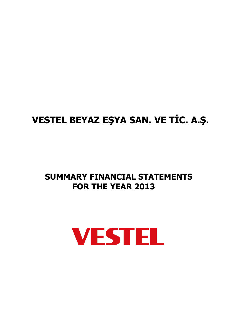# **VESTEL BEYAZ EŞYA SAN. VE TİC. A.Ş.**

# **SUMMARY FINANCIAL STATEMENTS FOR THE YEAR 2013**

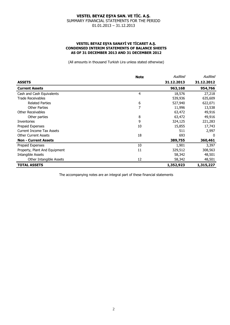#### **VESTEL BEYAZ EŞYA SANAYİ VE TİCARET A.Ş. CONDENSED INTERIM STATEMENTS OF BALANCE SHEETS AS OF 31 DECEMBER 2013 AND 31 DECEMBER 2012**

(All amounts in thousand Turkish Lira unless stated otherwise)

|                                  | <b>Note</b> | Audited    | Audited    |
|----------------------------------|-------------|------------|------------|
| <b>ASSETS</b>                    |             | 31.12.2013 | 31.12.2012 |
| <b>Current Assets</b>            |             | 963,168    | 954,766    |
| Cash and Cash Equivalents        | 4           | 18,576     | 27,218     |
| <b>Trade Receivables</b>         |             | 539,936    | 635,609    |
| <b>Related Parties</b>           | 6           | 527,940    | 622,071    |
| <b>Other Parties</b>             | 7           | 11,996     | 13,538     |
| <b>Other Receivables</b>         |             | 63,472     | 49,916     |
| Other parties                    | 8           | 63,472     | 49,916     |
| <b>Inventories</b>               | 9           | 324,125    | 221,283    |
| Prepaid Expenses                 | 10          | 15,855     | 17,743     |
| <b>Current Income Tax Assets</b> |             | 511        | 2,997      |
| <b>Other Current Assets</b>      | 18          | 693        | $\Omega$   |
| <b>Non - Current Assets</b>      |             | 389,755    | 360,461    |
| Prepaid Expenses                 | 10          | 1,901      | 3,397      |
| Property, Plant And Equipment    | 11          | 329,512    | 308,563    |
| Intangible Assets                |             | 58,342     | 48,501     |
| Other Intangible Assets          | 12          | 58,342     | 48,501     |
| <b>TOTAL ASSETS</b>              |             | 1,352,923  | 1,315,227  |

The accompanying notes are an integral part of these financial statements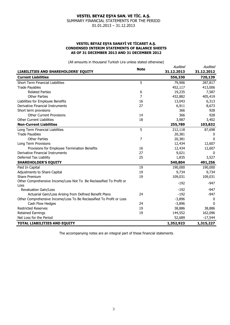#### **VESTEL BEYAZ EŞYA SANAYİ VE TİCARET A.Ş. CONDENSED INTERIM STATEMENTS OF BALANCE SHEETS AS OF 31 DECEMBER 2013 AND 31 DECEMBER 2012**

(All amounts in thousand Turkish Lira unless stated otherwise)

|                                                                      | <b>Note</b> | Audited            | Audited      |
|----------------------------------------------------------------------|-------------|--------------------|--------------|
| <b>LIABILITIES AND SHAREHOLDERS' EQUITY</b>                          |             | 31.12.2013         | 31.12.2012   |
| <b>Current Liabilities</b>                                           |             | 556,330            | 720,139      |
| <b>Short Term Financial Liabilities</b>                              | 5           | 79,906             | 287,817      |
| <b>Trade Payables</b>                                                |             | 452,117            | 413,006      |
| <b>Related Parties</b>                                               | 6           | 19,235             | 7,587        |
| <b>Other Parties</b>                                                 | 7           | 432,882            | 405,419      |
| Liabilities for Employee Benefits                                    | 16          | 13,043             | 6,313        |
| Derivative Financial Instruments                                     | 27          | 6,911              | 8,673        |
| Short term provisions                                                |             | 366                | 928          |
| <b>Other Current Provisions</b>                                      | 14          | 366                | 928          |
| <b>Other Current Liabilities</b>                                     | 18          | 3,987              | 3,402        |
| <b>Non-Current Liabilities</b>                                       |             | 255,789            | 103,832      |
| Long Term Financial Liabilities                                      | 5           | 212,118            | 87,698       |
| <b>Trade Payables</b>                                                |             | 20,381             | 0            |
| <b>Other Parties</b>                                                 | 7           | 20,381             | $\Omega$     |
| Long Term Provisions                                                 |             | 12,434             | 12,607       |
| Provisions for Employee Termination Benefits                         | 16          | 12,434             | 12,607       |
| Derivative Financial Instruments                                     | 27          | 9,021              | $\mathbf{0}$ |
| Deferred Tax Liability                                               | 25          | 1,835              | 3,527        |
| <b>SHAREHOLDER'S EQUITY</b>                                          |             | 540,804            | 491,256      |
| Paid In Capital                                                      | 19          | 190,000            | 190,000      |
| Adjustments to Share Capital                                         | 19          | 9,734              | 9,734        |
| Share Premium                                                        | 19          | 109,031            | 109,031      |
| Other Comprehensive Income/Loss Not To Be Reclassified To Profit or  |             | $-192$             | $-947$       |
| Loss<br><b>Revaluation Gain/Loss</b>                                 |             | $-192$             | $-947$       |
| Actuarial Gain/Loss Arising from Defined Benefit Plans               | 24          | $-192$             | $-947$       |
| Other Comprehensive Income/Loss To Be Reclassified To Profit or Loss |             | $-3,896$           | 0            |
|                                                                      | 24          |                    | $\Omega$     |
| Cash Flow Hedges<br><b>Restricted Reserves</b>                       | 19          | $-3,896$<br>38,886 | 38,886       |
|                                                                      |             |                    |              |
| <b>Retained Earnings</b>                                             | 19          | 144,552            | 162,096      |
| Net Loss for the Period                                              |             | 52,689             | $-17,544$    |
| <b>TOTAL LIABILITIES AND EQUITY</b>                                  |             | 1,352,923          | 1,315,227    |

The accompanying notes are an integral part of these financial statements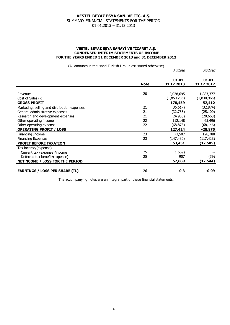#### **VESTEL BEYAZ EŞYA SANAYİ VE TİCARET A.Ş. CONDENSED INTERIM STATEMENTS OF INCOME FOR THE YEARS ENDED 31 DECEMBER 2013 and 31 DECEMBER 2012**

(All amounts in thousand Turkish Lira unless stated otherwise)

|                                              |             | Audited                 | Audited                 |
|----------------------------------------------|-------------|-------------------------|-------------------------|
|                                              | <b>Note</b> | $01.01 -$<br>31.12.2013 | $01.01 -$<br>31.12.2012 |
|                                              |             |                         |                         |
| Revenue                                      | 20          | 2,028,695               | 1,883,377               |
| Cost of Sales (-)                            |             | (1,850,236)             | (1,830,965)             |
| <b>GROSS PROFIT</b>                          |             | 178,459                 | 52,412                  |
| Marketing, selling and distribution expenses | 21          | (36, 617)               | (32, 874)               |
| General administrative expenses              | 21          | (32, 733)               | (25, 100)               |
| Research and development expenses            | 21          | (24, 958)               | (20, 663)               |
| Other operating income                       | 22          | 112,148                 | 65,496                  |
| Other operating expense                      | 22          | (68, 875)               | (68, 146)               |
| <b>OPERATING PROFIT / LOSS</b>               |             | 127,424                 | $-28,875$               |
| Financing Income                             | 23          | 73,507                  | 128,788                 |
| <b>Financing Expenses</b>                    | 23          | (147, 480)              | (117, 418)              |
| PROFIT BEFORE TAXATION                       |             | 53,451                  | (17, 505)               |
| Tax income/(expense)                         |             |                         |                         |
| Current tax (expense)/income                 | 25          | (1,669)                 |                         |
| Deferred tax benefit/(expense)               | 25          | 907                     | (39)                    |
| NET NCOME / LOSS FOR THE PERIOD              |             | 52,689                  | (17, 544)               |
| <b>EARNINGS / LOSS PER SHARE (TL)</b>        | 26          | 0.3                     | $-0.09$                 |

The accompanying notes are an integral part of these financial statements.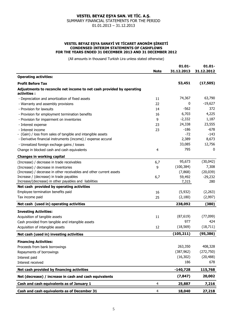#### **VESTEL BEYAZ EŞYA SANAYİ VE TİCARET ANONİM ŞİRKETİ CONDENSED INTERIM STATEMENTS OF CASHFLOWS FOR THE YEARS ENDED 31 DECEMBER 2013 AND 31 DECEMBER 2012**

(All amounts in thousand Turkish Lira unless stated otherwise)

|                                                                                      |             | $01.01 -$  | $01.01 -$  |
|--------------------------------------------------------------------------------------|-------------|------------|------------|
|                                                                                      | <b>Note</b> | 31.12.2013 | 31.12.2012 |
| <b>Operating activities:</b>                                                         |             |            |            |
| <b>Profit Before Tax</b>                                                             |             | 53,451     | (17, 505)  |
| Adjustments to reconcile net income to net cash provided by operating<br>activities: |             |            |            |
| - Depreciation and amortization of fixed assets                                      | 11          | 74,367     | 63,790     |
| - Warranty and assembly provisions                                                   | 22          | 0          | $-19,627$  |
| - Provision for lawsuits                                                             | 14          | $-562$     | 372        |
| - Provision for employment termination benefits                                      | 16          | 6,703      | 4,225      |
| - Provision for impairment on inventories                                            | 9           | $-2,332$   | 1,187      |
| - Interest expense                                                                   | 23          | 24,338     | 23,555     |
| - Interest income                                                                    | 23          | $-186$     | $-678$     |
| - (Gain) / loss from sales of tangible and intangible assets                         |             | $-72$      | $-143$     |
| - Derivative financial instruments (income) / expense accural                        |             | 2,389      | 8,673      |
| - Unrealized foreign exchage gains / losses                                          |             | 33,085     | 12,756     |
| Change in blocked cash and cash equivalents                                          | 4           | 795        | 0          |
| <b>Changes in working capital</b>                                                    |             |            |            |
| (Increase) / decrease in trade receivables                                           | 6,7         | 95,673     | (30,042)   |
| (Increase) / decrease in inventories                                                 | 9           | (100, 384) | 7,308      |
| (Increase) / decerase in other receivables and other current assets                  |             | (7,868)    | (20, 039)  |
| Increase / (decrease) in trade payables                                              | 6,7         | 59,492     | $-29,232$  |
| Increase/(decrease) in other payables and liabilities                                |             | 7,315      | 280        |
| Net cash provided by operating activities                                            |             |            |            |
| Employee termination benefits paid                                                   | 16          | (5,932)    | (2,263)    |
| Tax income paid                                                                      | 25          | (2,180)    | (2,997)    |
| Net cash (used in) operating activities                                              |             | 238,092    | (380)      |
| <b>Investing Activities:</b>                                                         |             |            |            |
| Acquisition of tangible assets                                                       | 11          | (87, 619)  | (77,099)   |
| Cash provided from tangible and intangible assets                                    |             | 977        | 424        |
| Acquisition of intangible assets                                                     | 12          | (18, 569)  | (18, 711)  |
| Net cash (used in) investing activities                                              |             | (105, 211) | (95, 386)  |
|                                                                                      |             |            |            |
| <b>Financing Activities:</b>                                                         |             |            |            |
| Proceeds from bank borrowings                                                        |             | 263,350    | 408,328    |
| Repayments of borrowings                                                             |             | (387, 962) | (272, 750) |
| Interest paid                                                                        |             | (16, 302)  | (20, 488)  |
| Interest received                                                                    |             | 186        | 678        |
| Net cash provided by financing activities                                            |             | $-140,728$ | 115,768    |
| Net (decrease) / increase in cash and cash equivalents                               |             | (7, 847)   | 20,002     |
| Cash and cash equivalents as of January 1                                            | 4           | 25,887     | 7,216      |
| Cash and cash equivalents as of December 31                                          | 4           | 18,040     | 27,218     |